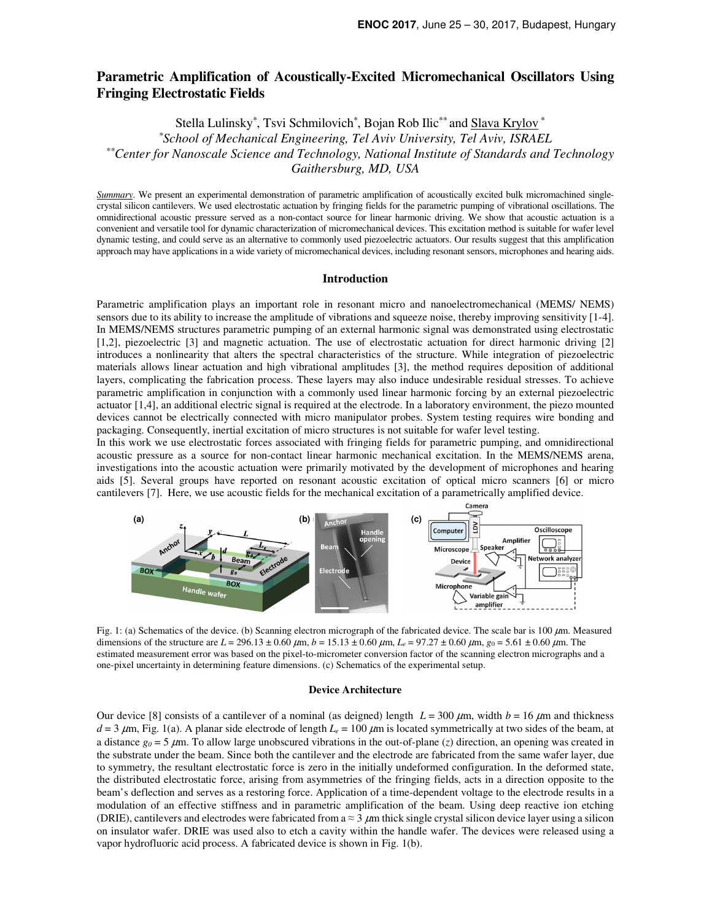# **Parametric Amplification of Acoustically-Excited Micromechanical Oscillators Using Fringing Electrostatic Fields**

Stella Lulinsky\*, Tsvi Schmilovich\*, Bojan Rob Ilic\*\* and Slava Krylov \*

*\*School of Mechanical Engineering, Tel Aviv University, Tel Aviv, ISRAEL* 

 *\*\*Center for Nanoscale Science and Technology, National Institute of Standards and Technology* 

*Gaithersburg, MD, USA*

*Summary*. We present an experimental demonstration of parametric amplification of acoustically excited bulk micromachined singlecrystal silicon cantilevers. We used electrostatic actuation by fringing fields for the parametric pumping of vibrational oscillations. The omnidirectional acoustic pressure served as a non-contact source for linear harmonic driving. We show that acoustic actuation is a convenient and versatile tool for dynamic characterization of micromechanical devices. This excitation method is suitable for wafer level dynamic testing, and could serve as an alternative to commonly used piezoelectric actuators. Our results suggest that this amplification approach may have applications in a wide variety of micromechanical devices, including resonant sensors, microphones and hearing aids.

# **Introduction**

Parametric amplification plays an important role in resonant micro and nanoelectromechanical (MEMS/ NEMS) sensors due to its ability to increase the amplitude of vibrations and squeeze noise, thereby improving sensitivity [1-4]. In MEMS/NEMS structures parametric pumping of an external harmonic signal was demonstrated using electrostatic [1,2], piezoelectric [3] and magnetic actuation. The use of electrostatic actuation for direct harmonic driving [2] introduces a nonlinearity that alters the spectral characteristics of the structure. While integration of piezoelectric materials allows linear actuation and high vibrational amplitudes [3], the method requires deposition of additional layers, complicating the fabrication process. These layers may also induce undesirable residual stresses. To achieve parametric amplification in conjunction with a commonly used linear harmonic forcing by an external piezoelectric actuator [1,4], an additional electric signal is required at the electrode. In a laboratory environment, the piezo mounted devices cannot be electrically connected with micro manipulator probes. System testing requires wire bonding and packaging. Consequently, inertial excitation of micro structures is not suitable for wafer level testing.

In this work we use electrostatic forces associated with fringing fields for parametric pumping, and omnidirectional acoustic pressure as a source for non-contact linear harmonic mechanical excitation. In the MEMS/NEMS arena, investigations into the acoustic actuation were primarily motivated by the development of microphones and hearing aids [5]. Several groups have reported on resonant acoustic excitation of optical micro scanners [6] or micro cantilevers [7]. Here, we use acoustic fields for the mechanical excitation of a parametrically amplified device.



Fig. 1: (a) Schematics of the device. (b) Scanning electron micrograph of the fabricated device. The scale bar is 100  $\mu$ m. Measured dimensions of the structure are  $L = 296.13 \pm 0.60 \ \mu \text{m}$ ,  $b = 15.13 \pm 0.60 \ \mu \text{m}$ ,  $L_e = 97.27 \pm 0.60 \ \mu \text{m}$ ,  $g_0 = 5.61 \pm 0.60 \ \mu \text{m}$ . The estimated measurement error was based on the pixel-to-micrometer conversion factor of the scanning electron micrographs and a one-pixel uncertainty in determining feature dimensions. (c) Schematics of the experimental setup.

#### **Device Architecture**

Our device [8] consists of a cantilever of a nominal (as deigned) length  $L = 300 \mu m$ , width  $b = 16 \mu m$  and thickness  $d = 3 \mu m$ , Fig. 1(a). A planar side electrode of length  $L_e = 100 \mu m$  is located symmetrically at two sides of the beam, at a distance  $g_0 = 5 \mu$ m. To allow large unobscured vibrations in the out-of-plane (*z*) direction, an opening was created in the substrate under the beam. Since both the cantilever and the electrode are fabricated from the same wafer layer, due to symmetry, the resultant electrostatic force is zero in the initially undeformed configuration. In the deformed state, the distributed electrostatic force, arising from asymmetries of the fringing fields, acts in a direction opposite to the beam's deflection and serves as a restoring force. Application of a time-dependent voltage to the electrode results in a modulation of an effective stiffness and in parametric amplification of the beam. Using deep reactive ion etching (DRIE), cantilevers and electrodes were fabricated from  $a \approx 3 \mu m$  thick single crystal silicon device layer using a silicon on insulator wafer. DRIE was used also to etch a cavity within the handle wafer. The devices were released using a vapor hydrofluoric acid process. A fabricated device is shown in Fig. 1(b).